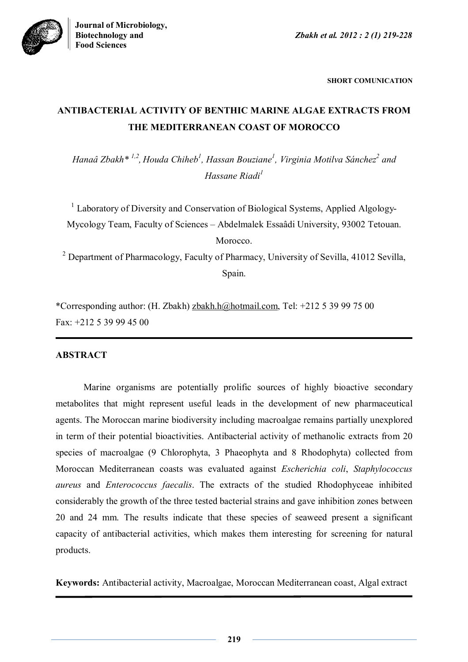**Biotechnology and** *Zbakh et al. 2012 : 2 (1) 219-228*



**SHORT COMUNICATION**

# **ANTIBACTERIAL ACTIVITY OF BENTHIC MARINE ALGAE EXTRACTS FROM THE MEDITERRANEAN COAST OF MOROCCO**

*Hanaâ Zbakh\* 1,2 , Houda Chiheb<sup>1</sup> , Hassan Bouziane<sup>1</sup> , Virginia Motilva Sánchez<sup>2</sup> and Hassane Riadi<sup>1</sup>*

<sup>1</sup> Laboratory of Diversity and Conservation of Biological Systems, Applied Algology-Mycology Team, Faculty of Sciences – Abdelmalek Essaâdi University, 93002 Tetouan. Morocco.

<sup>2</sup> Department of Pharmacology, Faculty of Pharmacy, University of Sevilla, 41012 Sevilla, Spain.

\*Corresponding author: (H. Zbakh) zbakh.h@hotmail.com, Tel: +212 5 39 99 75 00 Fax: +212 5 39 99 45 00

# **ABSTRACT**

Marine organisms are potentially prolific sources of highly bioactive secondary metabolites that might represent useful leads in the development of new pharmaceutical agents. The Moroccan marine biodiversity including macroalgae remains partially unexplored in term of their potential bioactivities. Antibacterial activity of methanolic extracts from 20 species of macroalgae (9 Chlorophyta, 3 Phaeophyta and 8 Rhodophyta) collected from Moroccan Mediterranean coasts was evaluated against *Escherichia coli*, *Staphylococcus aureus* and *Enterococcus faecalis*. The extracts of the studied Rhodophyceae inhibited considerably the growth of the three tested bacterial strains and gave inhibition zones between 20 and 24 mm. The results indicate that these species of seaweed present a significant capacity of antibacterial activities, which makes them interesting for screening for natural products.

**Keywords:** Antibacterial activity, Macroalgae, Moroccan Mediterranean coast, Algal extract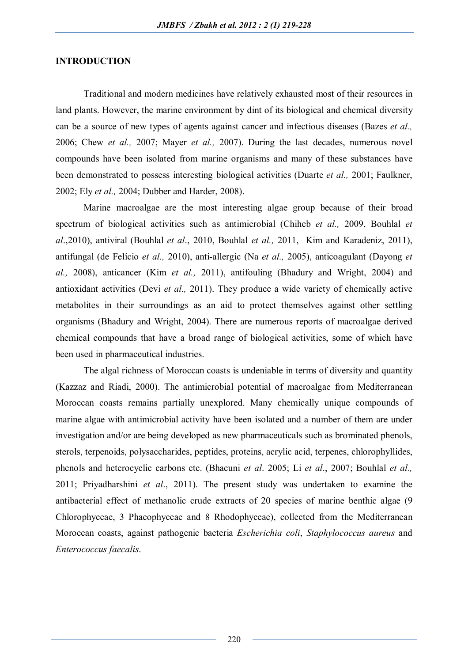## **INTRODUCTION**

Traditional and modern medicines have relatively exhausted most of their resources in land plants. However, the marine environment by dint of its biological and chemical diversity can be a source of new types of agents against cancer and infectious diseases (Bazes *et al.,* 2006; Chew *et al.,* 2007; Mayer *et al.,* 2007). During the last decades, numerous novel compounds have been isolated from marine organisms and many of these substances have been demonstrated to possess interesting biological activities (Duarte *et al.,* 2001; Faulkner, 2002; Ely *et al.,* 2004; Dubber and Harder, 2008).

Marine macroalgae are the most interesting algae group because of their broad spectrum of biological activities such as antimicrobial (Chiheb *et al.,* 2009, Bouhlal *et al*.,2010), antiviral (Bouhlal *et al*., 2010, Bouhlal *et al.,* 2011, Kim and Karadeniz, 2011), antifungal (de Felício *et al.,* 2010), anti-allergic (Na *et al.,* 2005), anticoagulant (Dayong *et al.,* 2008), anticancer (Kim *et al.,* 2011), antifouling (Bhadury and Wright, 2004) and antioxidant activities (Devi *et al.,* 2011). They produce a wide variety of chemically active metabolites in their surroundings as an aid to protect themselves against other settling organisms (Bhadury and Wright, 2004). There are numerous reports of macroalgae derived chemical compounds that have a broad range of biological activities, some of which have been used in pharmaceutical industries.

The algal richness of Moroccan coasts is undeniable in terms of diversity and quantity (Kazzaz and Riadi, 2000). The antimicrobial potential of macroalgae from Mediterranean Moroccan coasts remains partially unexplored. Many chemically unique compounds of marine algae with antimicrobial activity have been isolated and a number of them are under investigation and/or are being developed as new pharmaceuticals such as brominated phenols, sterols, terpenoids, polysaccharides, peptides, proteins, acrylic acid, terpenes, chlorophyllides, phenols and heterocyclic carbons etc. (Bhacuni *et al*. 2005; Li *et al*., 2007; Bouhlal *et al.,* 2011; Priyadharshini *et al*., 2011). The present study was undertaken to examine the antibacterial effect of methanolic crude extracts of 20 species of marine benthic algae (9 Chlorophyceae, 3 Phaeophyceae and 8 Rhodophyceae), collected from the Mediterranean Moroccan coasts, against pathogenic bacteria *Escherichia coli*, *Staphylococcus aureus* and *Enterococcus faecalis*.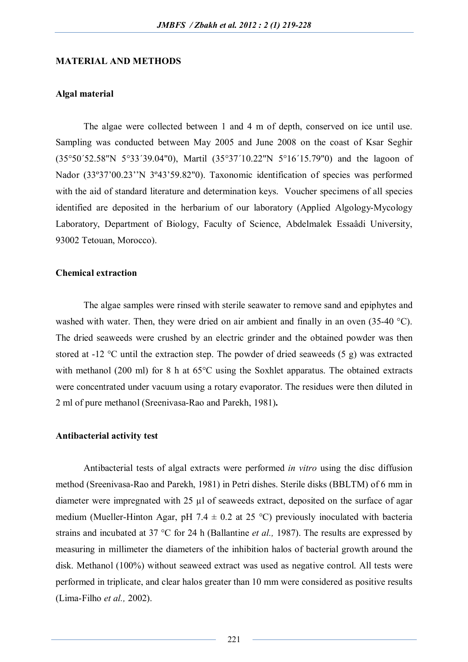#### **MATERIAL AND METHODS**

#### **Algal material**

The algae were collected between 1 and 4 m of depth, conserved on ice until use. Sampling was conducted between May 2005 and June 2008 on the coast of Ksar Seghir (35°50´52.58"N 5°33´39.04"0), Martil (35°37´10.22"N 5°16´15.79"0) and the lagoon of Nador (33º37'00.23''N 3º43'59.82"0). Taxonomic identification of species was performed with the aid of standard literature and determination keys. Voucher specimens of all species identified are deposited in the herbarium of our laboratory (Applied Algology-Mycology Laboratory, Department of Biology, Faculty of Science, Abdelmalek Essaâdi University, 93002 Tetouan, Morocco).

#### **Chemical extraction**

The algae samples were rinsed with sterile seawater to remove sand and epiphytes and washed with water. Then, they were dried on air ambient and finally in an oven (35-40 °C). The dried seaweeds were crushed by an electric grinder and the obtained powder was then stored at -12 °C until the extraction step. The powder of dried seaweeds (5 g) was extracted with methanol (200 ml) for 8 h at 65<sup>o</sup>C using the Soxhlet apparatus. The obtained extracts were concentrated under vacuum using a rotary evaporator. The residues were then diluted in 2 ml of pure methanol (Sreenivasa-Rao and Parekh, 1981)**.**

#### **Antibacterial activity test**

Antibacterial tests of algal extracts were performed *in vitro* using the disc diffusion method (Sreenivasa-Rao and Parekh, 1981) in Petri dishes. Sterile disks (BBLTM) of 6 mm in diameter were impregnated with 25 µl of seaweeds extract, deposited on the surface of agar medium (Mueller-Hinton Agar, pH 7.4  $\pm$  0.2 at 25 °C) previously inoculated with bacteria strains and incubated at 37 °C for 24 h (Ballantine *et al.,* 1987). The results are expressed by measuring in millimeter the diameters of the inhibition halos of bacterial growth around the disk. Methanol (100%) without seaweed extract was used as negative control. All tests were performed in triplicate, and clear halos greater than 10 mm were considered as positive results (Lima-Filho *et al.,* 2002).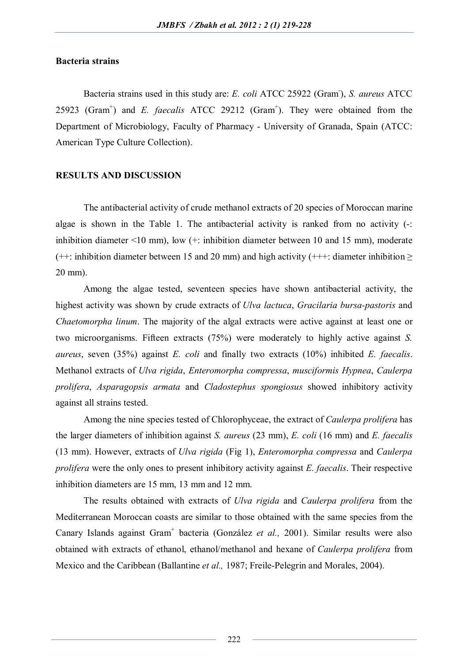### **Bacteria strains**

Bacteria strains used in this study are: *E. coli* ATCC 25922 (Gram- ), *S. aureus* ATCC 25923 (Gram<sup>+</sup>) and *E. faecalis* ATCC 29212 (Gram<sup>+</sup>). They were obtained from the Department of Microbiology, Faculty of Pharmacy - University of Granada, Spain (ATCC: American Type Culture Collection).

#### **RESULTS AND DISCUSSION**

The antibacterial activity of crude methanol extracts of 20 species of Moroccan marine algae is shown in the Table 1. The antibacterial activity is ranked from no activity (-: inhibition diameter  $\leq 10$  mm), low  $(+)$  inhibition diameter between 10 and 15 mm), moderate  $(++)$ : inhibition diameter between 15 and 20 mm) and high activity  $(++)$ : diameter inhibition  $>$ 20 mm).

Among the algae tested, seventeen species have shown antibacterial activity, the highest activity was shown by crude extracts of *Ulva lactuca*, *Gracilaria bursa-pastoris* and *Chaetomorpha linum*. The majority of the algal extracts were active against at least one or two microorganisms. Fifteen extracts (75%) were moderately to highly active against *S. aureus*, seven (35%) against *E. coli* and finally two extracts (10%) inhibited *E. faecalis*. Methanol extracts of *Ulva rigida*, *Enteromorpha compressa*, *musciformis Hypnea*, *Caulerpa prolifera*, *Asparagopsis armata* and *Cladostephus spongiosus* showed inhibitory activity against all strains tested.

Among the nine species tested of Chlorophyceae, the extract of *Caulerpa prolifera* has the larger diameters of inhibition against *S. aureus* (23 mm), *E. coli* (16 mm) and *E. faecalis* (13 mm). However, extracts of *Ulva rigida* (Fig 1), *Enteromorpha compressa* and *Caulerpa prolifera* were the only ones to present inhibitory activity against *E. faecalis*. Their respective inhibition diameters are 15 mm, 13 mm and 12 mm.

The results obtained with extracts of *Ulva rigida* and *Caulerpa prolifera* from the Mediterranean Moroccan coasts are similar to those obtained with the same species from the Canary Islands against Gram<sup>+</sup> bacteria (González et al., 2001). Similar results were also obtained with extracts of ethanol, ethanol/methanol and hexane of *Caulerpa prolifera* from Mexico and the Caribbean (Ballantine *et al.,* 1987; Freile-Pelegrin and Morales, 2004).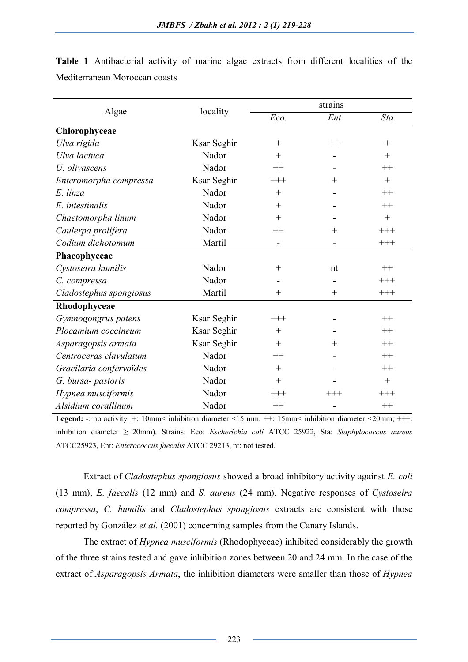| Algae                   | locality    | strains  |        |            |
|-------------------------|-------------|----------|--------|------------|
|                         |             | Eco.     | Ent    | <b>Sta</b> |
| Chlorophyceae           |             |          |        |            |
| Ulva rigida             | Ksar Seghir | $+$      | $++$   | $^{+}$     |
| Ulva lactuca            | Nador       | $^{+}$   |        | $^{+}$     |
| U. olivascens           | Nador       | $++$     |        | $++$       |
| Enteromorpha compressa  | Ksar Seghir | $+++$    | $+$    | $+$        |
| E. linza                | Nador       | $+$      |        | $++$       |
| E. intestinalis         | Nador       | $^{+}$   |        | $++$       |
| Chaetomorpha linum      | Nador       | $+$      |        | $^{+}$     |
| Caulerpa prolifera      | Nador       | $^{++}$  | $^{+}$ | $^{+++}$   |
| Codium dichotomum       | Martil      |          |        | $^{+++}$   |
| Phaeophyceae            |             |          |        |            |
| Cystoseira humilis      | Nador       | $^{+}$   | nt     | $++$       |
| C. compressa            | Nador       |          |        | $^{+++}$   |
| Cladostephus spongiosus | Martil      | $^{+}$   | $^{+}$ | $^{+++}$   |
| Rhodophyceae            |             |          |        |            |
| Gymnogongrus patens     | Ksar Seghir | $+++$    |        | $++$       |
| Plocamium coccineum     | Ksar Seghir | $+$      |        | $++$       |
| Asparagopsis armata     | Ksar Seghir | $+$      | $^{+}$ | $++$       |
| Centroceras clavulatum  | Nador       | $^{++}$  |        | $++$       |
| Gracilaria confervoïdes | Nador       | $^{+}$   |        | $++$       |
| G. bursa- pastoris      | Nador       | $^{+}$   |        | $^{+}$     |
| Hypnea musciformis      | Nador       | $^{+++}$ | $+++$  | $+++$      |
| Alsidium corallinum     | Nador       | $^{++}$  |        | $++$       |

**Table 1** Antibacterial activity of marine algae extracts from different localities of the Mediterranean Moroccan coasts

**Legend:** -: no activity; +: 10mm< inhibition diameter <15 mm; ++: 15mm< inhibition diameter <20mm; +++: inhibition diameter ≥ 20mm). Strains: Eco: *Escherichia coli* ATCC 25922, Sta: *Staphylococcus aureus*  ATCC25923, Ent: *Enterococcus faecalis* ATCC 29213, nt: not tested.

Extract of *Cladostephus spongiosus* showed a broad inhibitory activity against *E. coli* (13 mm), *E. faecalis* (12 mm) and *S. aureus* (24 mm). Negative responses of *Cystoseira compressa*, *C. humilis* and *Cladostephus spongiosus* extracts are consistent with those reported by González *et al.* (2001) concerning samples from the Canary Islands.

The extract of *Hypnea musciformis* (Rhodophyceae) inhibited considerably the growth of the three strains tested and gave inhibition zones between 20 and 24 mm. In the case of the extract of *Asparagopsis Armata*, the inhibition diameters were smaller than those of *Hypnea*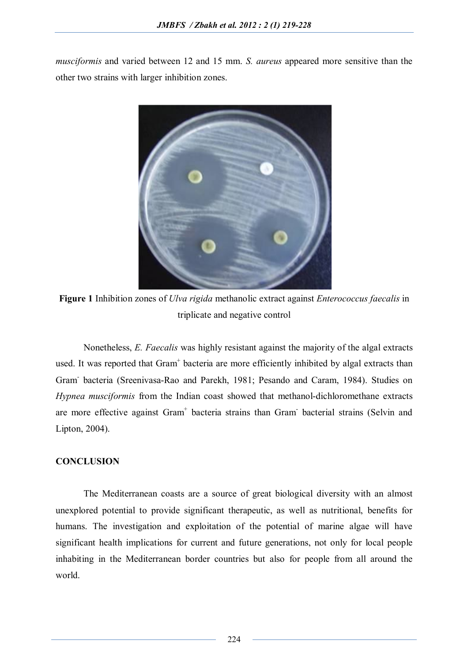*musciformis* and varied between 12 and 15 mm. *S. aureus* appeared more sensitive than the other two strains with larger inhibition zones.



**Figure 1** Inhibition zones of *Ulva rigida* methanolic extract against *Enterococcus faecalis* in triplicate and negative control

Nonetheless, *E. Faecalis* was highly resistant against the majority of the algal extracts used. It was reported that Gram<sup>+</sup> bacteria are more efficiently inhibited by algal extracts than Gram-bacteria (Sreenivasa-Rao and Parekh, 1981; Pesando and Caram, 1984). Studies on *Hypnea musciformis* from the Indian coast showed that methanol-dichloromethane extracts are more effective against Gram<sup>+</sup> bacteria strains than Gram<sup>-</sup> bacterial strains (Selvin and Lipton, 2004).

# **CONCLUSION**

The Mediterranean coasts are a source of great biological diversity with an almost unexplored potential to provide significant therapeutic, as well as nutritional, benefits for humans. The investigation and exploitation of the potential of marine algae will have significant health implications for current and future generations, not only for local people inhabiting in the Mediterranean border countries but also for people from all around the world.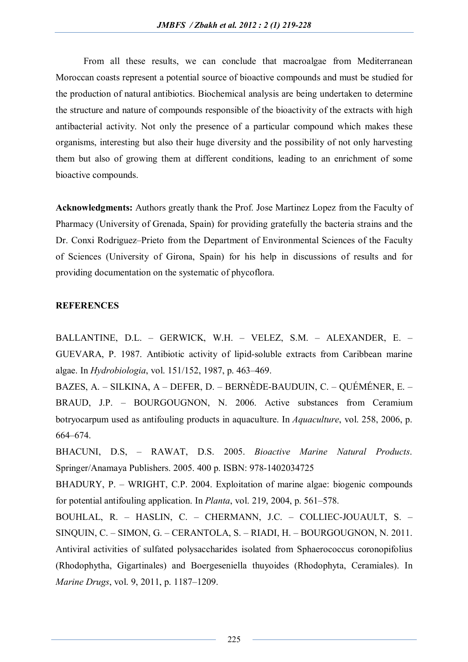From all these results, we can conclude that macroalgae from Mediterranean Moroccan coasts represent a potential source of bioactive compounds and must be studied for the production of natural antibiotics. Biochemical analysis are being undertaken to determine the structure and nature of compounds responsible of the bioactivity of the extracts with high antibacterial activity. Not only the presence of a particular compound which makes these organisms, interesting but also their huge diversity and the possibility of not only harvesting them but also of growing them at different conditions, leading to an enrichment of some bioactive compounds.

**Acknowledgments:** Authors greatly thank the Prof. Jose Martinez Lopez from the Faculty of Pharmacy (University of Grenada, Spain) for providing gratefully the bacteria strains and the Dr. Conxi Rodriguez–Prieto from the Department of Environmental Sciences of the Faculty of Sciences (University of Girona, Spain) for his help in discussions of results and for providing documentation on the systematic of phycoflora.

## **REFERENCES**

BALLANTINE, D.L. – GERWICK, W.H. – VELEZ, S.M. – ALEXANDER, E. – GUEVARA, P. 1987. Antibiotic activity of lipid-soluble extracts from Caribbean marine algae. In *Hydrobiologia*, vol. 151/152, 1987, p. 463–469.

BAZES, A. – SILKINA, A – DEFER, D. – BERNÈDE-BAUDUIN, C. – QUÉMÉNER, E. – BRAUD, J.P. – BOURGOUGNON, N. 2006. Active substances from Ceramium botryocarpum used as antifouling products in aquaculture. In *Aquaculture*, vol. 258, 2006, p. 664–674.

BHACUNI, D.S, – RAWAT, D.S. 2005. *Bioactive Marine Natural Products*. Springer/Anamaya Publishers. 2005. 400 p. ISBN: 978-1402034725

BHADURY, P. – WRIGHT, C.P. 2004. Exploitation of marine algae: biogenic compounds for potential antifouling application. In *Planta*, vol. 219, 2004, p. 561–578.

BOUHLAL, R. – HASLIN, C. – CHERMANN, J.C. – COLLIEC-JOUAULT, S. – SINQUIN, C. – SIMON, G. – CERANTOLA, S. – RIADI, H. – BOURGOUGNON, N. 2011. Antiviral activities of sulfated polysaccharides isolated from Sphaerococcus coronopifolius (Rhodophytha, Gigartinales) and Boergeseniella thuyoides (Rhodophyta, Ceramiales). In *Marine Drugs*, vol. 9, 2011, p. 1187–1209.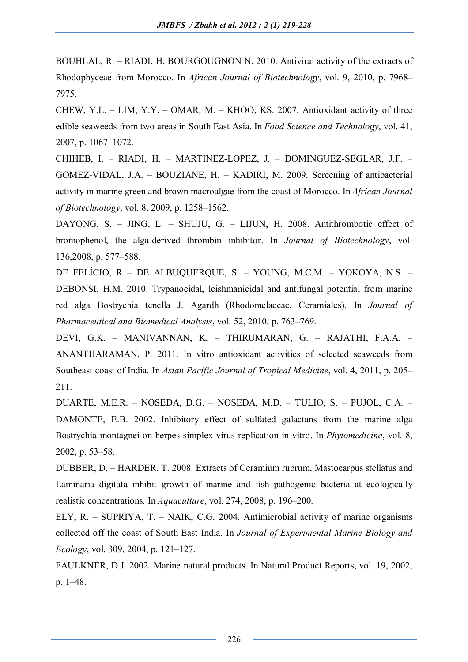BOUHLAL, R. – RIADI, H. BOURGOUGNON N. 2010. Antiviral activity of the extracts of Rhodophyceae from Morocco. In *African Journal of Biotechnology*, vol. 9, 2010, p. 7968– 7975.

CHEW, Y.L. – LIM, Y.Y. – OMAR, M. – KHOO, KS. 2007. Antioxidant activity of three edible seaweeds from two areas in South East Asia. In *Food Science and Technology*, vol. 41, 2007, p. 1067–1072.

CHIHEB, I. – RIADI, H. – MARTINEZ-LOPEZ, J. – DOMINGUEZ-SEGLAR, J.F. – GOMEZ-VIDAL, J.A. – BOUZIANE, H. – KADIRI, M. 2009. Screening of antibacterial activity in marine green and brown macroalgae from the coast of Morocco. In *African Journal of Biotechnology*, vol. 8, 2009, p. 1258–1562.

DAYONG, S. - JING, L. - SHUJU, G. - LIJUN, H. 2008. Antithrombotic effect of bromophenol, the alga-derived thrombin inhibitor. In *Journal of Biotechnology*, vol. 136,2008, p. 577–588.

DE FELÍCIO, R – DE ALBUQUERQUE, S. – YOUNG, M.C.M. – YOKOYA, N.S. – DEBONSI, H.M. 2010. Trypanocidal, leishmanicidal and antifungal potential from marine red alga Bostrychia tenella J. Agardh (Rhodomelaceae, Ceramiales). In *Journal of Pharmaceutical and Biomedical Analysis*, vol. 52, 2010, p. 763–769.

DEVI, G.K. – MANIVANNAN, K. – THIRUMARAN, G. – RAJATHI, F.A.A. – ANANTHARAMAN, P. 2011. In vitro antioxidant activities of selected seaweeds from Southeast coast of India. In *Asian Pacific Journal of Tropical Medicine*, vol. 4, 2011, p. 205– 211.

DUARTE, M.E.R. – NOSEDA, D.G. – NOSEDA, M.D. – TULIO, S. – PUJOL, C.A. – DAMONTE, E.B. 2002. Inhibitory effect of sulfated galactans from the marine alga Bostrychia montagnei on herpes simplex virus replication in vitro. In *Phytomedicine*, vol. 8, 2002, p. 53–58.

DUBBER, D. – HARDER, T. 2008. Extracts of Ceramium rubrum, Mastocarpus stellatus and Laminaria digitata inhibit growth of marine and fish pathogenic bacteria at ecologically realistic concentrations. In *Aquaculture*, vol. 274, 2008, p. 196–200.

ELY, R. – SUPRIYA, T. – NAIK, C.G. 2004. Antimicrobial activity of marine organisms collected off the coast of South East India. In *Journal of Experimental Marine Biology and Ecology*, vol. 309, 2004, p. 121–127.

FAULKNER, D.J. 2002. Marine natural products. In Natural Product Reports, vol. 19, 2002, p. 1–48.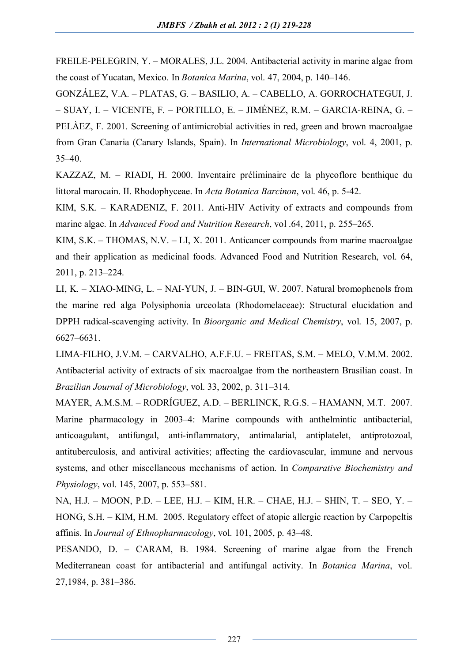FREILE-PELEGRIN, Y. – MORALES, J.L. 2004. Antibacterial activity in marine algae from the coast of Yucatan, Mexico. In *Botanica Marina*, vol. 47, 2004, p. 140–146.

GONZÁLEZ, V.A. – PLATAS, G. – BASILIO, A. – CABELLO, A. GORROCHATEGUI, J. – SUAY, I. – VICENTE, F. – PORTILLO, E. – JIMÉNEZ, R.M. – GARCIA-REINA, G. – PELÀEZ, F. 2001. Screening of antimicrobial activities in red, green and brown macroalgae from Gran Canaria (Canary Islands, Spain). In *International Microbiology*, vol. 4, 2001, p. 35–40.

KAZZAZ, M. – RIADI, H. 2000. Inventaire préliminaire de la phycoflore benthique du littoral marocain. II. Rhodophyceae. In *Acta Botanica Barcinon*, vol. 46, p. 5-42.

KIM, S.K. – KARADENIZ, F. 2011. Anti-HIV Activity of extracts and compounds from marine algae. In *Advanced Food and Nutrition Research*, vol .64, 2011, p. 255–265.

KIM, S.K. – THOMAS, N.V. – LI, X. 2011. Anticancer compounds from marine macroalgae and their application as medicinal foods. Advanced Food and Nutrition Research, vol. 64, 2011, p. 213–224.

LI, K. – XIAO-MING, L. – NAI-YUN, J. – BIN-GUI, W. 2007. Natural bromophenols from the marine red alga Polysiphonia urceolata (Rhodomelaceae): Structural elucidation and DPPH radical-scavenging activity. In *Bioorganic and Medical Chemistry*, vol. 15, 2007, p. 6627–6631.

LIMA-FILHO, J.V.M. – CARVALHO, A.F.F.U. – FREITAS, S.M. – MELO, V.M.M. 2002. Antibacterial activity of extracts of six macroalgae from the northeastern Brasilian coast. In *Brazilian Journal of Microbiology*, vol. 33, 2002, p. 311–314.

MAYER, A.M.S.M. – RODRÍGUEZ, A.D. – BERLINCK, R.G.S. – HAMANN, M.T. 2007. Marine pharmacology in 2003–4: Marine compounds with anthelmintic antibacterial, anticoagulant, antifungal, anti-inflammatory, antimalarial, antiplatelet, antiprotozoal, antituberculosis, and antiviral activities; affecting the cardiovascular, immune and nervous systems, and other miscellaneous mechanisms of action. In *Comparative Biochemistry and Physiology*, vol. 145, 2007, p. 553–581.

NA, H.J. – MOON, P.D. – LEE, H.J. – KIM, H.R. – CHAE, H.J. – SHIN, T. – SEO, Y. – HONG, S.H. – KIM, H.M. 2005. Regulatory effect of atopic allergic reaction by Carpopeltis affinis. In *Journal of Ethnopharmacology*, vol. 101, 2005, p. 43–48.

PESANDO, D. – CARAM, B. 1984. Screening of marine algae from the French Mediterranean coast for antibacterial and antifungal activity. In *Botanica Marina*, vol. 27,1984, p. 381–386.